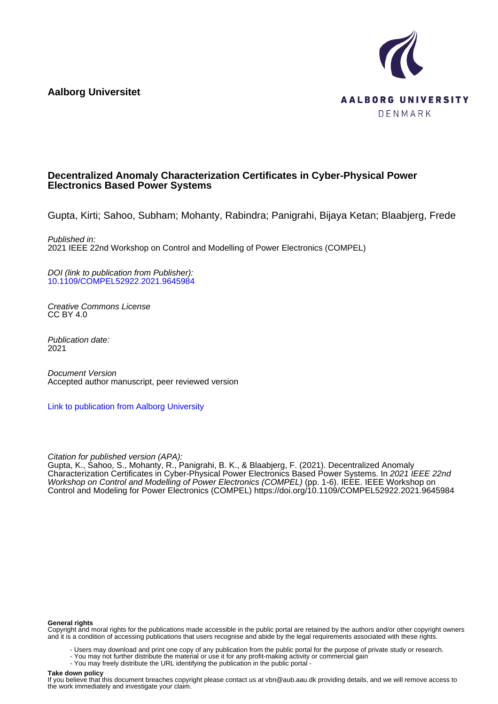**Aalborg Universitet**



## **Decentralized Anomaly Characterization Certificates in Cyber-Physical Power Electronics Based Power Systems**

Gupta, Kirti; Sahoo, Subham; Mohanty, Rabindra; Panigrahi, Bijaya Ketan; Blaabjerg, Frede

Published in: 2021 IEEE 22nd Workshop on Control and Modelling of Power Electronics (COMPEL)

DOI (link to publication from Publisher): [10.1109/COMPEL52922.2021.9645984](https://doi.org/10.1109/COMPEL52922.2021.9645984)

Creative Commons License CC BY 4.0

Publication date: 2021

Document Version Accepted author manuscript, peer reviewed version

[Link to publication from Aalborg University](https://vbn.aau.dk/en/publications/e121112a-b6b7-44a0-ab6c-5f4b643f31ee)

Citation for published version (APA):

Gupta, K., Sahoo, S., Mohanty, R., Panigrahi, B. K., & Blaabjerg, F. (2021). Decentralized Anomaly Characterization Certificates in Cyber-Physical Power Electronics Based Power Systems. In 2021 IEEE 22nd Workshop on Control and Modelling of Power Electronics (COMPEL) (pp. 1-6). IEEE. IEEE Workshop on Control and Modeling for Power Electronics (COMPEL) <https://doi.org/10.1109/COMPEL52922.2021.9645984>

#### **General rights**

Copyright and moral rights for the publications made accessible in the public portal are retained by the authors and/or other copyright owners and it is a condition of accessing publications that users recognise and abide by the legal requirements associated with these rights.

- Users may download and print one copy of any publication from the public portal for the purpose of private study or research.
- You may not further distribute the material or use it for any profit-making activity or commercial gain
- You may freely distribute the URL identifying the publication in the public portal -

### **Take down policy**

If you believe that this document breaches copyright please contact us at vbn@aub.aau.dk providing details, and we will remove access to the work immediately and investigate your claim.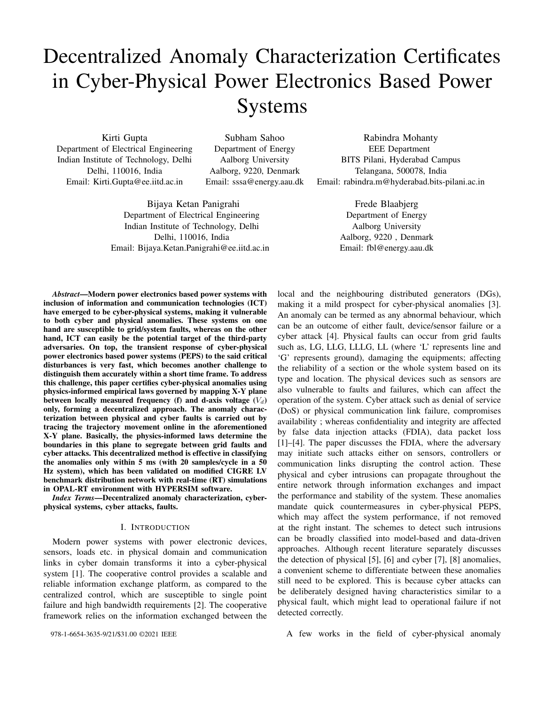# Decentralized Anomaly Characterization Certificates in Cyber-Physical Power Electronics Based Power Systems

Kirti Gupta Department of Electrical Engineering Indian Institute of Technology, Delhi Delhi, 110016, India Email: Kirti.Gupta@ee.iitd.ac.in

Subham Sahoo Department of Energy Aalborg University Aalborg, 9220, Denmark Email: sssa@energy.aau.dk

Bijaya Ketan Panigrahi Department of Electrical Engineering Indian Institute of Technology, Delhi Delhi, 110016, India Email: Bijaya.Ketan.Panigrahi@ee.iitd.ac.in

Rabindra Mohanty EEE Department BITS Pilani, Hyderabad Campus Telangana, 500078, India Email: rabindra.m@hyderabad.bits-pilani.ac.in

> Frede Blaabjerg Department of Energy Aalborg University Aalborg, 9220 , Denmark Email: fbl@energy.aau.dk

*Abstract*—Modern power electronics based power systems with inclusion of information and communication technologies (ICT) have emerged to be cyber-physical systems, making it vulnerable to both cyber and physical anomalies. These systems on one hand are susceptible to grid/system faults, whereas on the other hand, ICT can easily be the potential target of the third-party adversaries. On top, the transient response of cyber-physical power electronics based power systems (PEPS) to the said critical disturbances is very fast, which becomes another challenge to distinguish them accurately within a short time frame. To address this challenge, this paper certifies cyber-physical anomalies using physics-informed empirical laws governed by mapping X-Y plane between locally measured frequency (f) and d-axis voltage  $(V_d)$ only, forming a decentralized approach. The anomaly characterization between physical and cyber faults is carried out by tracing the trajectory movement online in the aforementioned X-Y plane. Basically, the physics-informed laws determine the boundaries in this plane to segregate between grid faults and cyber attacks. This decentralized method is effective in classifying the anomalies only within 5 ms (with 20 samples/cycle in a 50 Hz system), which has been validated on modified CIGRE LV benchmark distribution network with real-time (RT) simulations in OPAL-RT environment with HYPERSIM software.

*Index Terms*—Decentralized anomaly characterization, cyberphysical systems, cyber attacks, faults.

#### I. INTRODUCTION

Modern power systems with power electronic devices, sensors, loads etc. in physical domain and communication links in cyber domain transforms it into a cyber-physical system [1]. The cooperative control provides a scalable and reliable information exchange platform, as compared to the centralized control, which are susceptible to single point failure and high bandwidth requirements [2]. The cooperative framework relies on the information exchanged between the

978-1-6654-3635-9/21/\$31.00 ©2021 IEEE

local and the neighbouring distributed generators (DGs), making it a mild prospect for cyber-physical anomalies [3]. An anomaly can be termed as any abnormal behaviour, which can be an outcome of either fault, device/sensor failure or a cyber attack [4]. Physical faults can occur from grid faults such as, LG, LLG, LLLG, LL (where 'L' represents line and 'G' represents ground), damaging the equipments; affecting the reliability of a section or the whole system based on its type and location. The physical devices such as sensors are also vulnerable to faults and failures, which can affect the operation of the system. Cyber attack such as denial of service (DoS) or physical communication link failure, compromises availability ; whereas confidentiality and integrity are affected by false data injection attacks (FDIA), data packet loss [1]–[4]. The paper discusses the FDIA, where the adversary may initiate such attacks either on sensors, controllers or communication links disrupting the control action. These physical and cyber intrusions can propagate throughout the entire network through information exchanges and impact the performance and stability of the system. These anomalies mandate quick countermeasures in cyber-physical PEPS, which may affect the system performance, if not removed at the right instant. The schemes to detect such intrusions can be broadly classified into model-based and data-driven approaches. Although recent literature separately discusses the detection of physical [5], [6] and cyber [7], [8] anomalies, a convenient scheme to differentiate between these anomalies still need to be explored. This is because cyber attacks can be deliberately designed having characteristics similar to a physical fault, which might lead to operational failure if not detected correctly.

A few works in the field of cyber-physical anomaly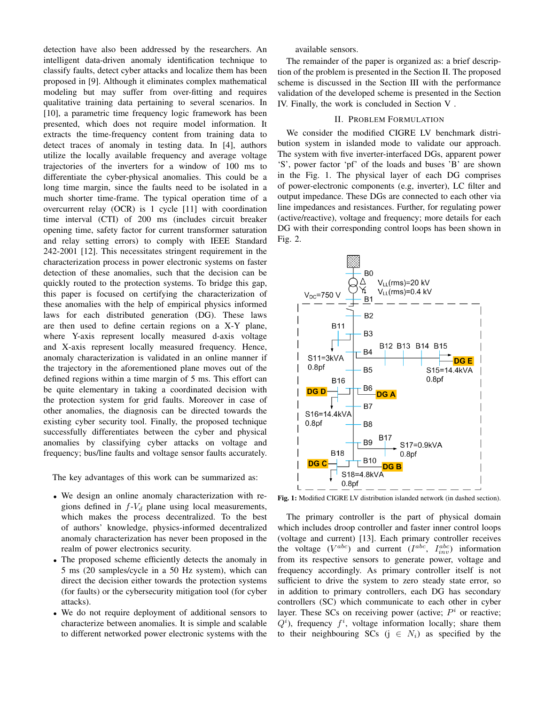detection have also been addressed by the researchers. An intelligent data-driven anomaly identification technique to classify faults, detect cyber attacks and localize them has been proposed in [9]. Although it eliminates complex mathematical modeling but may suffer from over-fitting and requires qualitative training data pertaining to several scenarios. In [10], a parametric time frequency logic framework has been presented, which does not require model information. It extracts the time-frequency content from training data to detect traces of anomaly in testing data. In [4], authors utilize the locally available frequency and average voltage trajectories of the inverters for a window of 100 ms to differentiate the cyber-physical anomalies. This could be a long time margin, since the faults need to be isolated in a much shorter time-frame. The typical operation time of a overcurrent relay (OCR) is 1 cycle [11] with coordination time interval (CTI) of 200 ms (includes circuit breaker opening time, safety factor for current transformer saturation and relay setting errors) to comply with IEEE Standard 242-2001 [12]. This necessitates stringent requirement in the characterization process in power electronic systems on faster detection of these anomalies, such that the decision can be quickly routed to the protection systems. To bridge this gap, this paper is focused on certifying the characterization of these anomalies with the help of empirical physics informed laws for each distributed generation (DG). These laws are then used to define certain regions on a X-Y plane, where Y-axis represent locally measured d-axis voltage and X-axis represent locally measured frequency. Hence, anomaly characterization is validated in an online manner if the trajectory in the aforementioned plane moves out of the defined regions within a time margin of 5 ms. This effort can be quite elementary in taking a coordinated decision with the protection system for grid faults. Moreover in case of other anomalies, the diagnosis can be directed towards the existing cyber security tool. Finally, the proposed technique successfully differentiates between the cyber and physical anomalies by classifying cyber attacks on voltage and frequency; bus/line faults and voltage sensor faults accurately.

The key advantages of this work can be summarized as:

- We design an online anomaly characterization with regions defined in  $f-V_d$  plane using local measurements, which makes the process decentralized. To the best of authors' knowledge, physics-informed decentralized anomaly characterization has never been proposed in the realm of power electronics security.
- The proposed scheme efficiently detects the anomaly in 5 ms (20 samples/cycle in a 50 Hz system), which can direct the decision either towards the protection systems (for faults) or the cybersecurity mitigation tool (for cyber attacks).
- We do not require deployment of additional sensors to characterize between anomalies. It is simple and scalable to different networked power electronic systems with the

available sensors.

The remainder of the paper is organized as: a brief description of the problem is presented in the Section II. The proposed scheme is discussed in the Section III with the performance validation of the developed scheme is presented in the Section IV. Finally, the work is concluded in Section V .

## II. PROBLEM FORMULATION

We consider the modified CIGRE LV benchmark distribution system in islanded mode to validate our approach. The system with five inverter-interfaced DGs, apparent power 'S', power factor 'pf' of the loads and buses 'B' are shown in the Fig. 1. The physical layer of each DG comprises of power-electronic components (e.g, inverter), LC filter and output impedance. These DGs are connected to each other via line impedances and resistances. Further, for regulating power (active/reactive), voltage and frequency; more details for each DG with their corresponding control loops has been shown in Fig. 2.



Fig. 1: Modified CIGRE LV distribution islanded network (in dashed section).

The primary controller is the part of physical domain which includes droop controller and faster inner control loops (voltage and current) [13]. Each primary controller receives the voltage  $(V^{abc})$  and current  $(I^{abc}, I^{abc}_{inv})$  information from its respective sensors to generate power, voltage and frequency accordingly. As primary controller itself is not sufficient to drive the system to zero steady state error, so in addition to primary controllers, each DG has secondary controllers (SC) which communicate to each other in cyber layer. These SCs on receiving power (active;  $P^i$  or reactive;  $Q<sup>i</sup>$ ), frequency  $f<sup>i</sup>$ , voltage information locally; share them to their neighbouring SCs ( $j \in N_i$ ) as specified by the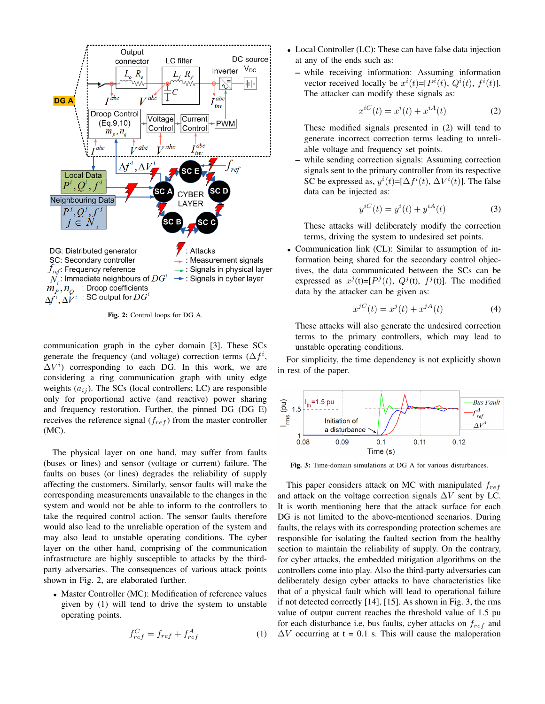

Fig. 2: Control loops for DG A.

communication graph in the cyber domain [3]. These SCs generate the frequency (and voltage) correction terms  $(\Delta f^i,$  $\Delta V^i$ ) corresponding to each DG. In this work, we are considering a ring communication graph with unity edge weights  $(a_{ij})$ . The SCs (local controllers; LC) are responsible only for proportional active (and reactive) power sharing and frequency restoration. Further, the pinned DG (DG E) receives the reference signal  $(f_{ref})$  from the master controller (MC).

The physical layer on one hand, may suffer from faults (buses or lines) and sensor (voltage or current) failure. The faults on buses (or lines) degrades the reliability of supply affecting the customers. Similarly, sensor faults will make the corresponding measurements unavailable to the changes in the system and would not be able to inform to the controllers to take the required control action. The sensor faults therefore would also lead to the unreliable operation of the system and may also lead to unstable operating conditions. The cyber layer on the other hand, comprising of the communication infrastructure are highly susceptible to attacks by the thirdparty adversaries. The consequences of various attack points shown in Fig. 2, are elaborated further.

• Master Controller (MC): Modification of reference values given by (1) will tend to drive the system to unstable operating points.

$$
f_{ref}^C = f_{ref} + f_{ref}^A \tag{1}
$$

- Local Controller (LC): These can have false data injection at any of the ends such as:
	- while receiving information: Assuming information vector received locally be  $x^{i}(t) = [P^{i}(t), Q^{i}(t), f^{i}(t)].$ The attacker can modify these signals as:

$$
x^{iC}(t) = x^i(t) + x^{iA}(t)
$$
 (2)

These modified signals presented in (2) will tend to generate incorrect correction terms leading to unreliable voltage and frequency set points.

– while sending correction signals: Assuming correction signals sent to the primary controller from its respective SC be expressed as,  $y^{i}(t) = [\Delta f^{i}(t), \Delta V^{i}(t)]$ . The false data can be injected as:

$$
y^{iC}(t) = y^{i}(t) + y^{iA}(t)
$$
\n(3)

These attacks will deliberately modify the correction terms, driving the system to undesired set points.

• Communication link (CL): Similar to assumption of information being shared for the secondary control objectives, the data communicated between the SCs can be expressed as  $x^j$ (t)=[ $P^j(t)$ ,  $Q^j$ (t),  $f^j$ (t)]. The modified data by the attacker can be given as:

$$
x^{jC}(t) = x^{j}(t) + x^{jA}(t)
$$
 (4)

These attacks will also generate the undesired correction terms to the primary controllers, which may lead to unstable operating conditions.

For simplicity, the time dependency is not explicitly shown in rest of the paper.



Fig. 3: Time-domain simulations at DG A for various disturbances.

This paper considers attack on MC with manipulated  $f_{ref}$ and attack on the voltage correction signals  $\Delta V$  sent by LC. It is worth mentioning here that the attack surface for each DG is not limited to the above-mentioned scenarios. During faults, the relays with its corresponding protection schemes are responsible for isolating the faulted section from the healthy section to maintain the reliability of supply. On the contrary, for cyber attacks, the embedded mitigation algorithms on the controllers come into play. Also the third-party adversaries can deliberately design cyber attacks to have characteristics like that of a physical fault which will lead to operational failure if not detected correctly [14], [15]. As shown in Fig. 3, the rms value of output current reaches the threshold value of 1.5 pu for each disturbance i.e, bus faults, cyber attacks on  $f_{ref}$  and  $\Delta V$  occurring at t = 0.1 s. This will cause the maloperation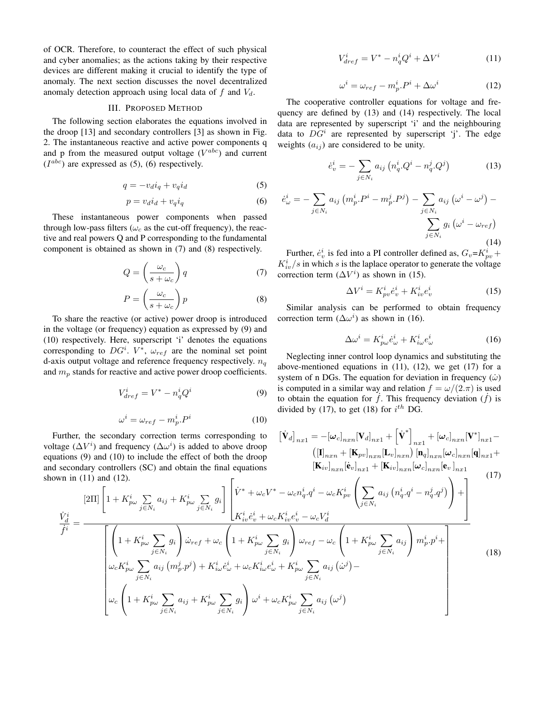of OCR. Therefore, to counteract the effect of such physical and cyber anomalies; as the actions taking by their respective devices are different making it crucial to identify the type of anomaly. The next section discusses the novel decentralized anomaly detection approach using local data of  $f$  and  $V_d$ .

## III. PROPOSED METHOD

The following section elaborates the equations involved in the droop [13] and secondary controllers [3] as shown in Fig. 2. The instantaneous reactive and active power components q and p from the measured output voltage  $(V^{abc})$  and current  $(I^{abc})$  are expressed as (5), (6) respectively.

$$
q = -v_d i_q + v_q i_d \tag{5}
$$

$$
p = v_d i_d + v_q i_q \tag{6}
$$

These instantaneous power components when passed through low-pass filters ( $\omega_c$  as the cut-off frequency), the reactive and real powers Q and P corresponding to the fundamental component is obtained as shown in (7) and (8) respectively.

$$
Q = \left(\frac{\omega_c}{s + \omega_c}\right) q \tag{7}
$$

$$
P = \left(\frac{\omega_c}{s + \omega_c}\right)p\tag{8}
$$

To share the reactive (or active) power droop is introduced in the voltage (or frequency) equation as expressed by (9) and (10) respectively. Here, superscript 'i' denotes the equations corresponding to  $DG^i$ .  $V^*$ ,  $\omega_{ref}$  are the nominal set point d-axis output voltage and reference frequency respectively.  $n_q$ and  $m_p$  stands for reactive and active power droop coefficients.

$$
V_{dref}^i = V^* - n_q^i Q^i \tag{9}
$$

$$
\omega^i = \omega_{ref} - m_p^i P^i \tag{10}
$$

Further, the voltage  $(\Delta V^i)$ ) and frequency ( $\Delta\omega$ i ) is added to above droop equations  $(9)$ and secondary shown in  $(11)$ 

 $\frac{\dot{V}_{d}^{i}}{\dot{f}^{i}}=% {\textstyle\sum\limits_{i}} e_{i}^{\dag}\frac{\dot{V}_{d}^{i}}{\dot{V}_{d}^{i}}=0\text{.} \label{Vd}%$ 

$$
V_{dref}^i = V^* - n_q^i Q^i + \Delta V^i \tag{11}
$$

$$
\omega^i = \omega_{ref} - m_p^i P^i + \Delta \omega^i \tag{12}
$$

The cooperative controller equations for voltage and frequency are defined by (13) and (14) respectively. The local data are represented by superscript 'i' and the neighbouring data to  $DG^i$  are represented by superscript 'j'. The edge weights  $(a_{ij})$  are considered to be unity.

$$
\dot{e}_{v}^{i} = -\sum_{j \in N_{i}} a_{ij} \left( n_{q}^{i} \cdot Q^{i} - n_{q}^{j} \cdot Q^{j} \right)
$$
 (13)

$$
\dot{e}_{\omega}^{i} = -\sum_{j \in N_{i}} a_{ij} \left( m_{p}^{i} \cdot P^{i} - m_{p}^{j} \cdot P^{j} \right) - \sum_{j \in N_{i}} a_{ij} \left( \omega^{i} - \omega^{j} \right) - \sum_{j \in N_{i}} g_{i} \left( \omega^{i} - \omega_{ref} \right)
$$
\n
$$
\sum_{j \in N_{i}} g_{i} \left( \omega^{i} - \omega_{ref} \right)
$$
\n(14)

Further,  $\dot{e}_v^i$  is fed into a PI controller defined as,  $G_v = K_{pv}^i +$  $K_{iv}^{i}/s$  in which s is the laplace operator to generate the voltage correction term  $(\Delta V^i)$  as shown in (15).

$$
\Delta V^i = K^i_{pv} \dot{e}^i_v + K^i_{iv} e^i_v \tag{15}
$$

Similar analysis can be performed to obtain frequency correction term  $(\Delta \omega^i)$  as shown in (16).

$$
\Delta \omega^i = K^i_{p\omega} \dot{e}^i_{\omega} + K^i_{i\omega} e^i_{\omega} \tag{16}
$$

Neglecting inner control loop dynamics and substituting the above-mentioned equations in  $(11)$ ,  $(12)$ , we get  $(17)$  for a system of n DGs. The equation for deviation in frequency  $(\dot{\omega})$ is computed in a similar way and relation  $f = \omega/(2\pi)$  is used to obtain the equation for  $\dot{f}$ . This frequency deviation  $(\dot{f})$  is divided by (17), to get (18) for  $i^{th}$  DG.

the secondary correction terms corresponding to 
$$
[\mathbf{V}_d]_{n_x1} = -[\omega_c]_{n_xn}[\mathbf{V}_d]_{n_x1} + [\mathbf{V}^*]_{n_x1} + [\omega_c]_{n_xn}[\mathbf{V}^*]_{n_x1} - V^i
$$
) and frequency  $(\Delta\omega^i)$  is added to above drop  
\n(9) and (10) to include the effect of both the drop  
\nlary controllers (SC) and obtain the final equations\n
$$
[\mathbf{K}_{iv}]_{n_xn}[\mathbf{e}_v]_{n_xn}[\mathbf{L}_v]_{n_xn}[\mathbf{L}_v]_{n_xn}[\omega_c]_{n_xn}[\mathbf{e}_v]_{n_x1} + [\mathbf{K}_{iv}]_{n_xn}[\omega_c]_{n_xn}[\mathbf{e}_v]_{n_x1}
$$
\n(17)  
\n[2II]  $\left[1 + K_{p\omega}^i \sum_{j \in N_i} a_{ij} + K_{p\omega}^i \sum_{j \in N_i} g_i\right] \left[\dot{V}^* + \omega_c V^* - \omega_c n_q^i q^i - \omega_c K_{p\nu}^i \left(\sum_{j \in N_i} a_{ij} (n_q^i q^i - n_q^j q^j)\right) + \frac{1}{K_{ip}^i \omega^i} \left(\sum_{j \in N_i} a_{ij} (n_q^i q^i - n_q^j q^j)\right) + \frac{1}{K_{ip}^i \omega^i} \left(\sum_{j \in N_i} a_{ij} (n_q^i q^j - n_q^j q^j)\right) + \frac{1}{K_{ip}^i \omega^i} \left(\sum_{j \in N_i} a_{ij} (n_q^i q^j - n_q^j q^j)\right) + \frac{1}{K_{ip}^i \omega^i} \left(\sum_{j \in N_i} a_{ij} (n_q^i q^j - n_q^j q^j)\right) + \frac{1}{K_{ip}^i} \left(\sum_{j \in N_i} a_{ij} (n_q^i q^j - n_q^j q^j)\right) + \frac{1}{K_{ip}^i} \left(\sum_{j \in N_i} a_{ij} (n_q^i q^j - n_q^j q^j)\right) + \frac{1}{K_{ip}^i} \left(\sum_{j \in N_i} a_{ij} (n_q^i q^j - n_q^j q^j)\right) + \frac{1}{K_{ip}^i} \left(\sum_{j \in N$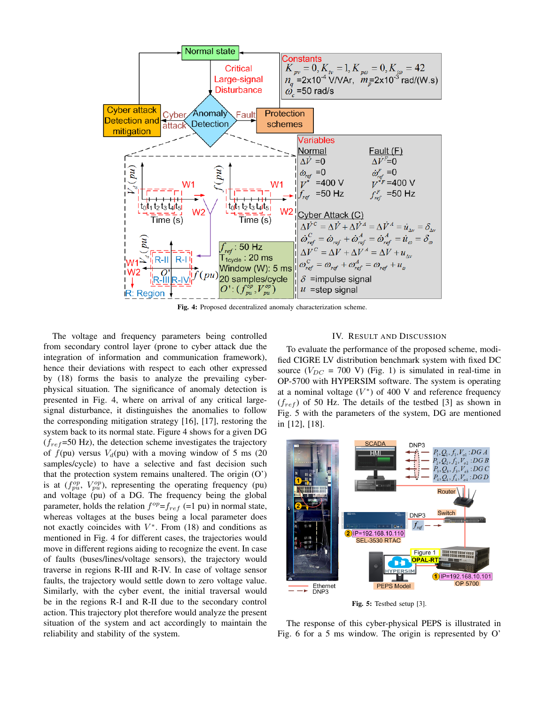

Fig. 4: Proposed decentralized anomaly characterization scheme.

The voltage and frequency parameters being controlled from secondary control layer (prone to cyber attack due the integration of information and communication framework), hence their deviations with respect to each other expressed by (18) forms the basis to analyze the prevailing cyberphysical situation. The significance of anomaly detection is presented in Fig. 4, where on arrival of any critical largesignal disturbance, it distinguishes the anomalies to follow the corresponding mitigation strategy [16], [17], restoring the system back to its normal state. Figure 4 shows for a given DG  $(f_{ref}=50 \text{ Hz})$ , the detection scheme investigates the trajectory of  $f(pu)$  versus  $V<sub>d</sub>(pu)$  with a moving window of 5 ms (20 samples/cycle) to have a selective and fast decision such that the protection system remains unaltered. The origin (O') is at  $(f_{pu}^{op}, V_{pu}^{op})$ , representing the operating frequency (pu) and voltage (pu) of a DG. The frequency being the global parameter, holds the relation  $f^{op} = f_{ref}$  (=1 pu) in normal state, whereas voltages at the buses being a local parameter does not exactly coincides with  $V^*$ . From (18) and conditions as mentioned in Fig. 4 for different cases, the trajectories would move in different regions aiding to recognize the event. In case of faults (buses/lines/voltage sensors), the trajectory would traverse in regions R-III and R-IV. In case of voltage sensor faults, the trajectory would settle down to zero voltage value. Similarly, with the cyber event, the initial traversal would be in the regions R-I and R-II due to the secondary control action. This trajectory plot therefore would analyze the present situation of the system and act accordingly to maintain the reliability and stability of the system.

## IV. RESULT AND DISCUSSION

To evaluate the performance of the proposed scheme, modified CIGRE LV distribution benchmark system with fixed DC source  $(V_{DC} = 700 \text{ V})$  (Fig. 1) is simulated in real-time in OP-5700 with HYPERSIM software. The system is operating at a nominal voltage  $(V^*)$  of 400 V and reference frequency  $(f_{ref})$  of 50 Hz. The details of the testbed [3] as shown in Fig. 5 with the parameters of the system, DG are mentioned in [12], [18].



Fig. 5: Testbed setup [3].

The response of this cyber-physical PEPS is illustrated in Fig. 6 for a 5 ms window. The origin is represented by O'